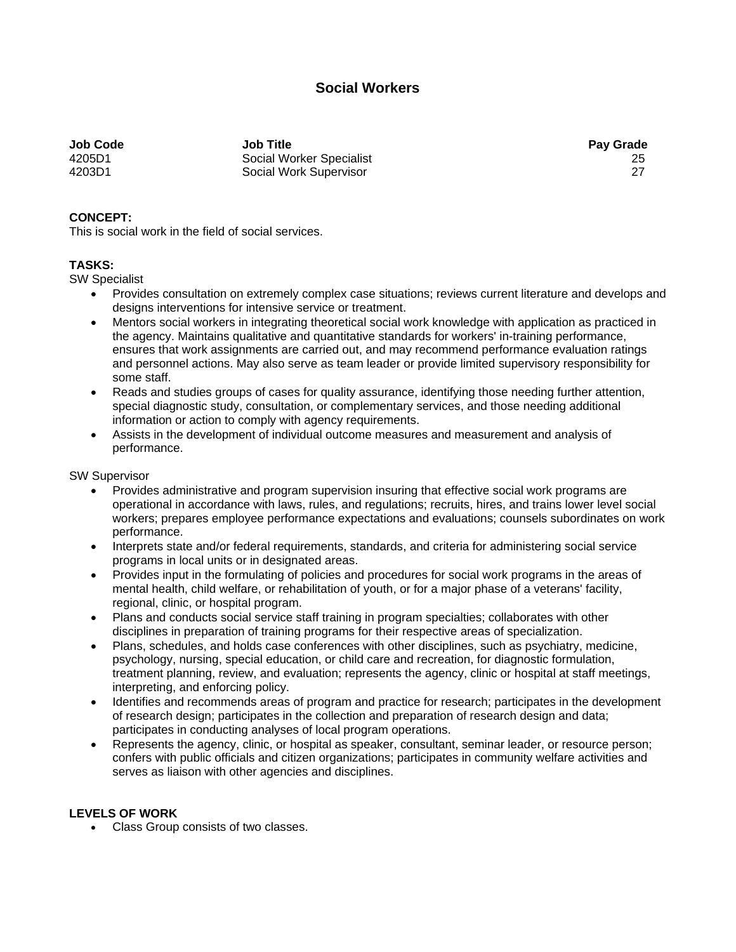## **Social Workers**

**Job Code Job Title Pay Grade**  4205D1 Social Worker Specialist 25 4203D1 Social Work Supervisor 27

## **CONCEPT:**

This is social work in the field of social services.

## **TASKS:**

SW Specialist

- Provides consultation on extremely complex case situations; reviews current literature and develops and designs interventions for intensive service or treatment.
- Mentors social workers in integrating theoretical social work knowledge with application as practiced in the agency. Maintains qualitative and quantitative standards for workers' in-training performance, ensures that work assignments are carried out, and may recommend performance evaluation ratings and personnel actions. May also serve as team leader or provide limited supervisory responsibility for some staff.
- Reads and studies groups of cases for quality assurance, identifying those needing further attention, special diagnostic study, consultation, or complementary services, and those needing additional information or action to comply with agency requirements.
- Assists in the development of individual outcome measures and measurement and analysis of performance.

SW Supervisor

- Provides administrative and program supervision insuring that effective social work programs are operational in accordance with laws, rules, and regulations; recruits, hires, and trains lower level social workers; prepares employee performance expectations and evaluations; counsels subordinates on work performance.
- Interprets state and/or federal requirements, standards, and criteria for administering social service programs in local units or in designated areas.
- Provides input in the formulating of policies and procedures for social work programs in the areas of mental health, child welfare, or rehabilitation of youth, or for a major phase of a veterans' facility, regional, clinic, or hospital program.
- Plans and conducts social service staff training in program specialties; collaborates with other disciplines in preparation of training programs for their respective areas of specialization.
- Plans, schedules, and holds case conferences with other disciplines, such as psychiatry, medicine, psychology, nursing, special education, or child care and recreation, for diagnostic formulation, treatment planning, review, and evaluation; represents the agency, clinic or hospital at staff meetings, interpreting, and enforcing policy.
- Identifies and recommends areas of program and practice for research; participates in the development of research design; participates in the collection and preparation of research design and data; participates in conducting analyses of local program operations.
- Represents the agency, clinic, or hospital as speaker, consultant, seminar leader, or resource person; confers with public officials and citizen organizations; participates in community welfare activities and serves as liaison with other agencies and disciplines.

## **LEVELS OF WORK**

• Class Group consists of two classes.